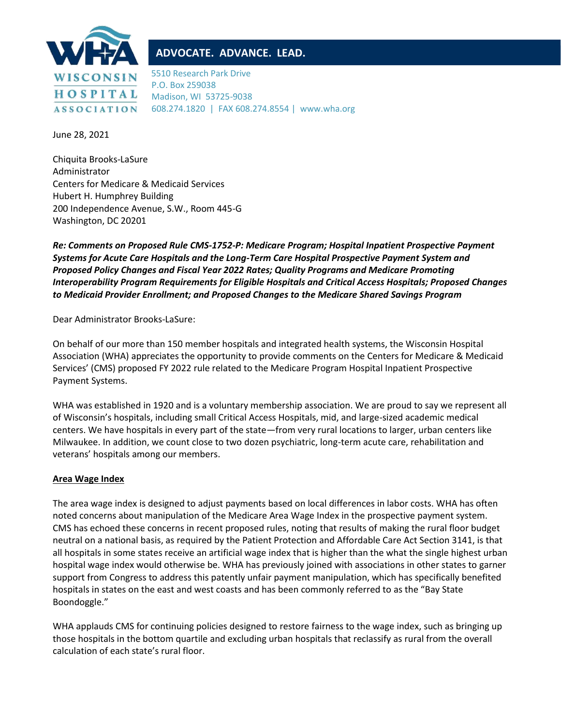

# **ADVOCATE. ADVANCE. LEAD.**

5510 Research Park Drive P.O. Box 259038 Madison, WI 53725-9038 608.274.1820 | FAX 608.274.8554 | www.wha.org

June 28, 2021

Chiquita Brooks-LaSure Administrator Centers for Medicare & Medicaid Services Hubert H. Humphrey Building 200 Independence Avenue, S.W., Room 445-G Washington, DC 20201

*Re: Comments on Proposed Rule CMS-1752-P: Medicare Program; Hospital Inpatient Prospective Payment Systems for Acute Care Hospitals and the Long-Term Care Hospital Prospective Payment System and Proposed Policy Changes and Fiscal Year 2022 Rates; Quality Programs and Medicare Promoting Interoperability Program Requirements for Eligible Hospitals and Critical Access Hospitals; Proposed Changes to Medicaid Provider Enrollment; and Proposed Changes to the Medicare Shared Savings Program*

Dear Administrator Brooks-LaSure:

On behalf of our more than 150 member hospitals and integrated health systems, the Wisconsin Hospital Association (WHA) appreciates the opportunity to provide comments on the Centers for Medicare & Medicaid Services' (CMS) proposed FY 2022 rule related to the Medicare Program Hospital Inpatient Prospective Payment Systems.

WHA was established in 1920 and is a voluntary membership association. We are proud to say we represent all of Wisconsin's hospitals, including small Critical Access Hospitals, mid, and large-sized academic medical centers. We have hospitals in every part of the state—from very rural locations to larger, urban centers like Milwaukee. In addition, we count close to two dozen psychiatric, long-term acute care, rehabilitation and veterans' hospitals among our members.

## **Area Wage Index**

The area wage index is designed to adjust payments based on local differences in labor costs. WHA has often noted concerns about manipulation of the Medicare Area Wage Index in the prospective payment system. CMS has echoed these concerns in recent proposed rules, noting that results of making the rural floor budget neutral on a national basis, as required by the Patient Protection and Affordable Care Act Section 3141, is that all hospitals in some states receive an artificial wage index that is higher than the what the single highest urban hospital wage index would otherwise be. WHA has previously joined with associations in other states to garner support from Congress to address this patently unfair payment manipulation, which has specifically benefited hospitals in states on the east and west coasts and has been commonly referred to as the "Bay State Boondoggle."

WHA applauds CMS for continuing policies designed to restore fairness to the wage index, such as bringing up those hospitals in the bottom quartile and excluding urban hospitals that reclassify as rural from the overall calculation of each state's rural floor.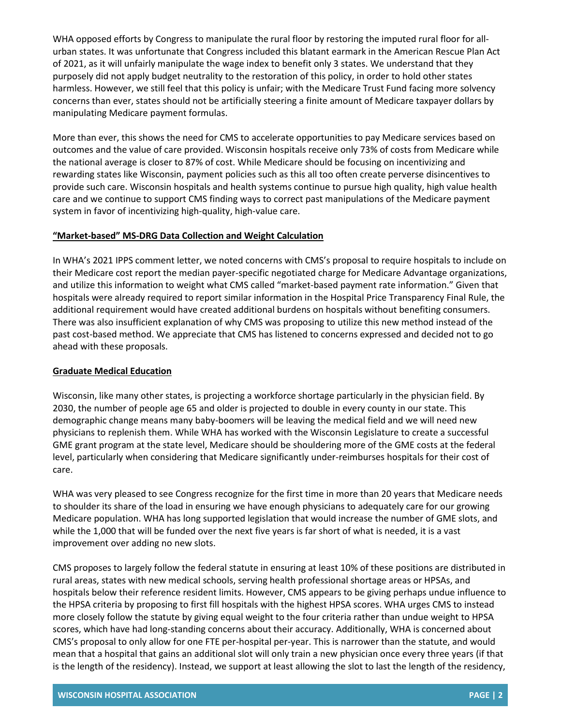WHA opposed efforts by Congress to manipulate the rural floor by restoring the imputed rural floor for allurban states. It was unfortunate that Congress included this blatant earmark in the American Rescue Plan Act of 2021, as it will unfairly manipulate the wage index to benefit only 3 states. We understand that they purposely did not apply budget neutrality to the restoration of this policy, in order to hold other states harmless. However, we still feel that this policy is unfair; with the Medicare Trust Fund facing more solvency concerns than ever, states should not be artificially steering a finite amount of Medicare taxpayer dollars by manipulating Medicare payment formulas.

More than ever, this shows the need for CMS to accelerate opportunities to pay Medicare services based on outcomes and the value of care provided. Wisconsin hospitals receive only 73% of costs from Medicare while the national average is closer to 87% of cost. While Medicare should be focusing on incentivizing and rewarding states like Wisconsin, payment policies such as this all too often create perverse disincentives to provide such care. Wisconsin hospitals and health systems continue to pursue high quality, high value health care and we continue to support CMS finding ways to correct past manipulations of the Medicare payment system in favor of incentivizing high-quality, high-value care.

#### **"Market-based" MS-DRG Data Collection and Weight Calculation**

In WHA's 2021 IPPS comment letter, we noted concerns with CMS's proposal to require hospitals to include on their Medicare cost report the median payer-specific negotiated charge for Medicare Advantage organizations, and utilize this information to weight what CMS called "market-based payment rate information." Given that hospitals were already required to report similar information in the Hospital Price Transparency Final Rule, the additional requirement would have created additional burdens on hospitals without benefiting consumers. There was also insufficient explanation of why CMS was proposing to utilize this new method instead of the past cost-based method. We appreciate that CMS has listened to concerns expressed and decided not to go ahead with these proposals.

### **Graduate Medical Education**

Wisconsin, like many other states, is projecting a workforce shortage particularly in the physician field. By 2030, the number of people age 65 and older is projected to double in every county in our state. This demographic change means many baby-boomers will be leaving the medical field and we will need new physicians to replenish them. While WHA has worked with the Wisconsin Legislature to create a successful GME grant program at the state level, Medicare should be shouldering more of the GME costs at the federal level, particularly when considering that Medicare significantly under-reimburses hospitals for their cost of care.

WHA was very pleased to see Congress recognize for the first time in more than 20 years that Medicare needs to shoulder its share of the load in ensuring we have enough physicians to adequately care for our growing Medicare population. WHA has long supported legislation that would increase the number of GME slots, and while the 1,000 that will be funded over the next five years is far short of what is needed, it is a vast improvement over adding no new slots.

CMS proposes to largely follow the federal statute in ensuring at least 10% of these positions are distributed in rural areas, states with new medical schools, serving health professional shortage areas or HPSAs, and hospitals below their reference resident limits. However, CMS appears to be giving perhaps undue influence to the HPSA criteria by proposing to first fill hospitals with the highest HPSA scores. WHA urges CMS to instead more closely follow the statute by giving equal weight to the four criteria rather than undue weight to HPSA scores, which have had long-standing concerns about their accuracy. Additionally, WHA is concerned about CMS's proposal to only allow for one FTE per-hospital per-year. This is narrower than the statute, and would mean that a hospital that gains an additional slot will only train a new physician once every three years (if that is the length of the residency). Instead, we support at least allowing the slot to last the length of the residency,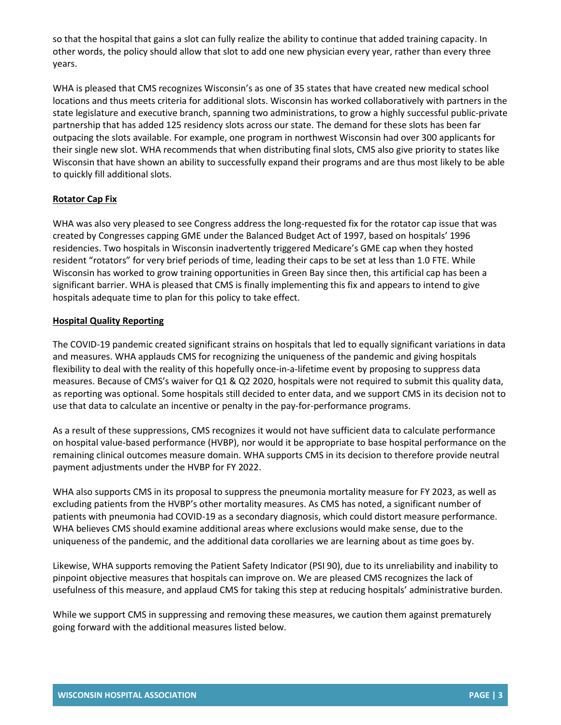so that the hospital that gains a slot can fully realize the ability to continue that added training capacity. In other words, the policy should allow that slot to add one new physician every year, rather than every three years.

WHA is pleased that CMS recognizes Wisconsin's as one of 35 states that have created new medical school locations and thus meets criteria for additional slots. Wisconsin has worked collaboratively with partners in the state legislature and executive branch, spanning two administrations, to grow a highly successful public-private partnership that has added 125 residency slots across our state. The demand for these slots has been far outpacing the slots available. For example, one program in northwest Wisconsin had over 300 applicants for their single new slot. WHA recommends that when distributing final slots, CMS also give priority to states like Wisconsin that have shown an ability to successfully expand their programs and are thus most likely to be able to quickly fill additional slots.

## **Rotator Cap Fix**

WHA was also very pleased to see Congress address the long-requested fix for the rotator cap issue that was created by Congresses capping GME under the Balanced Budget Act of 1997, based on hospitals' 1996 residencies. Two hospitals in Wisconsin inadvertently triggered Medicare's GME cap when they hosted resident "rotators" for very brief periods of time, leading their caps to be set at less than 1.0 FTE. While Wisconsin has worked to grow training opportunities in Green Bay since then, this artificial cap has been a significant barrier. WHA is pleased that CMS is finally implementing this fix and appears to intend to give hospitals adequate time to plan for this policy to take effect.

### **Hospital Quality Reporting**

The COVID-19 pandemic created significant strains on hospitals that led to equally significant variations in data and measures. WHA applauds CMS for recognizing the uniqueness of the pandemic and giving hospitals flexibility to deal with the reality of this hopefully once-in-a-lifetime event by proposing to suppress data measures. Because of CMS's waiver for Q1 & Q2 2020, hospitals were not required to submit this quality data, as reporting was optional. Some hospitals still decided to enter data, and we support CMS in its decision not to use that data to calculate an incentive or penalty in the pay-for-performance programs.

As a result of these suppressions, CMS recognizes it would not have sufficient data to calculate performance on hospital value-based performance (HVBP), nor would it be appropriate to base hospital performance on the remaining clinical outcomes measure domain. WHA supports CMS in its decision to therefore provide neutral payment adjustments under the HVBP for FY 2022.

WHA also supports CMS in its proposal to suppress the pneumonia mortality measure for FY 2023, as well as excluding patients from the HVBP's other mortality measures. As CMS has noted, a significant number of patients with pneumonia had COVID-19 as a secondary diagnosis, which could distort measure performance. WHA believes CMS should examine additional areas where exclusions would make sense, due to the uniqueness of the pandemic, and the additional data corollaries we are learning about as time goes by.

Likewise, WHA supports removing the Patient Safety Indicator (PSI 90), due to its unreliability and inability to pinpoint objective measures that hospitals can improve on. We are pleased CMS recognizes the lack of usefulness of this measure, and applaud CMS for taking this step at reducing hospitals' administrative burden.

While we support CMS in suppressing and removing these measures, we caution them against prematurely going forward with the additional measures listed below.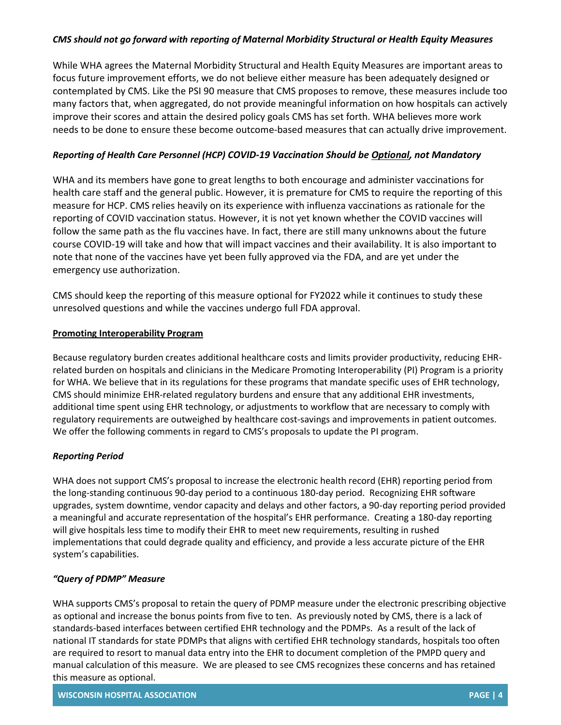## *CMS should not go forward with reporting of Maternal Morbidity Structural or Health Equity Measures*

While WHA agrees the Maternal Morbidity Structural and Health Equity Measures are important areas to focus future improvement efforts, we do not believe either measure has been adequately designed or contemplated by CMS. Like the PSI 90 measure that CMS proposes to remove, these measures include too many factors that, when aggregated, do not provide meaningful information on how hospitals can actively improve their scores and attain the desired policy goals CMS has set forth. WHA believes more work needs to be done to ensure these become outcome-based measures that can actually drive improvement.

## *Reporting of Health Care Personnel (HCP) COVID-19 Vaccination Should be Optional, not Mandatory*

WHA and its members have gone to great lengths to both encourage and administer vaccinations for health care staff and the general public. However, it is premature for CMS to require the reporting of this measure for HCP. CMS relies heavily on its experience with influenza vaccinations as rationale for the reporting of COVID vaccination status. However, it is not yet known whether the COVID vaccines will follow the same path as the flu vaccines have. In fact, there are still many unknowns about the future course COVID-19 will take and how that will impact vaccines and their availability. It is also important to note that none of the vaccines have yet been fully approved via the FDA, and are yet under the emergency use authorization.

CMS should keep the reporting of this measure optional for FY2022 while it continues to study these unresolved questions and while the vaccines undergo full FDA approval.

### **Promoting Interoperability Program**

Because regulatory burden creates additional healthcare costs and limits provider productivity, reducing EHRrelated burden on hospitals and clinicians in the Medicare Promoting Interoperability (PI) Program is a priority for WHA. We believe that in its regulations for these programs that mandate specific uses of EHR technology, CMS should minimize EHR-related regulatory burdens and ensure that any additional EHR investments, additional time spent using EHR technology, or adjustments to workflow that are necessary to comply with regulatory requirements are outweighed by healthcare cost-savings and improvements in patient outcomes. We offer the following comments in regard to CMS's proposals to update the PI program.

### *Reporting Period*

WHA does not support CMS's proposal to increase the electronic health record (EHR) reporting period from the long-standing continuous 90-day period to a continuous 180-day period. Recognizing EHR software upgrades, system downtime, vendor capacity and delays and other factors, a 90-day reporting period provided a meaningful and accurate representation of the hospital's EHR performance. Creating a 180-day reporting will give hospitals less time to modify their EHR to meet new requirements, resulting in rushed implementations that could degrade quality and efficiency, and provide a less accurate picture of the EHR system's capabilities.

### *"Query of PDMP" Measure*

WHA supports CMS's proposal to retain the query of PDMP measure under the electronic prescribing objective as optional and increase the bonus points from five to ten. As previously noted by CMS, there is a lack of standards-based interfaces between certified EHR technology and the PDMPs. As a result of the lack of national IT standards for state PDMPs that aligns with certified EHR technology standards, hospitals too often are required to resort to manual data entry into the EHR to document completion of the PMPD query and manual calculation of this measure. We are pleased to see CMS recognizes these concerns and has retained this measure as optional.